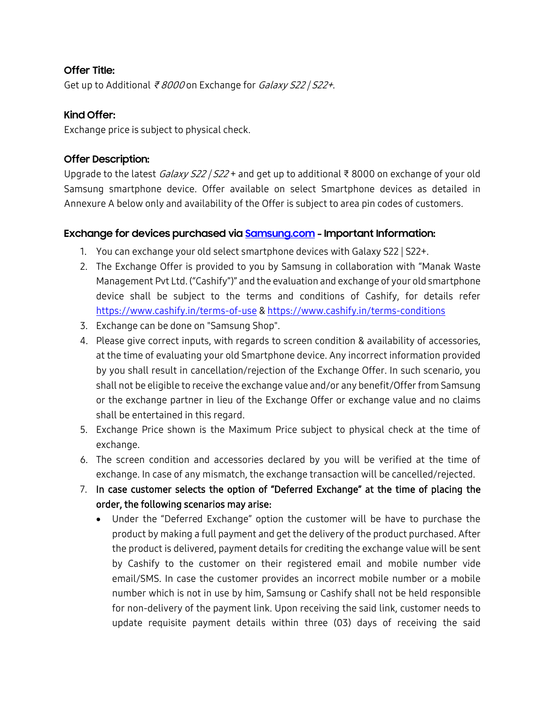# **Offer Title:**

Get up to Additional ₹ <sup>8000</sup> on Exchange for Galaxy S22 | S22+.

## **Kind Offer:**

Exchange price is subject to physical check.

## **Offer Description:**

Upgrade to the latest Galaxy S22 | S22 + and get up to additional ₹ 8000 on exchange of your old Samsung smartphone device. Offer available on select Smartphone devices as detailed in Annexure A below only and availability of the Offer is subject to area pin codes of customers.

#### **Exchange for devices purchased via [Samsung.com](https://www.samsung.com/in/) - Important Information:**

- 1. You can exchange your old select smartphone devices with Galaxy S22 | S22+.
- 2. The Exchange Offer is provided to you by Samsung in collaboration with "Manak Waste Management Pvt Ltd. ("Cashify")" and the evaluation and exchange of your old smartphone device shall be subject to the terms and conditions of Cashify, for details refer <https://www.cashify.in/terms-of-use> & <https://www.cashify.in/terms-conditions>
- 3. Exchange can be done on "Samsung Shop".
- 4. Please give correct inputs, with regards to screen condition & availability of accessories, at the time of evaluating your old Smartphone device. Any incorrect information provided by you shall result in cancellation/rejection of the Exchange Offer. In such scenario, you shall not be eligible to receive the exchange value and/or any benefit/Offer from Samsung or the exchange partner in lieu of the Exchange Offer or exchange value and no claims shall be entertained in this regard.
- 5. Exchange Price shown is the Maximum Price subject to physical check at the time of exchange.
- 6. The screen condition and accessories declared by you will be verified at the time of exchange. In case of any mismatch, the exchange transaction will be cancelled/rejected.
- 7. In case customer selects the option of "Deferred Exchange" at the time of placing the order, the following scenarios may arise:
	- Under the "Deferred Exchange" option the customer will be have to purchase the product by making a full payment and get the delivery of the product purchased. After the product is delivered, payment details for crediting the exchange value will be sent by Cashify to the customer on their registered email and mobile number vide email/SMS. In case the customer provides an incorrect mobile number or a mobile number which is not in use by him, Samsung or Cashify shall not be held responsible for non-delivery of the payment link. Upon receiving the said link, customer needs to update requisite payment details within three (03) days of receiving the said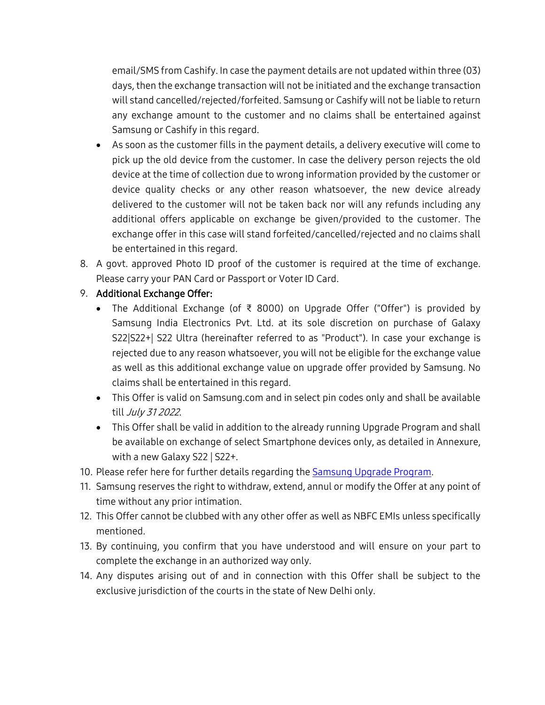email/SMS from Cashify. In case the payment details are not updated within three (03) days, then the exchange transaction will not be initiated and the exchange transaction will stand cancelled/rejected/forfeited. Samsung or Cashify will not be liable to return any exchange amount to the customer and no claims shall be entertained against Samsung or Cashify in this regard.

- As soon as the customer fills in the payment details, a delivery executive will come to pick up the old device from the customer. In case the delivery person rejects the old device at the time of collection due to wrong information provided by the customer or device quality checks or any other reason whatsoever, the new device already delivered to the customer will not be taken back nor will any refunds including any additional offers applicable on exchange be given/provided to the customer. The exchange offer in this case will stand forfeited/cancelled/rejected and no claims shall be entertained in this regard.
- 8. A govt. approved Photo ID proof of the customer is required at the time of exchange. Please carry your PAN Card or Passport or Voter ID Card.

# 9. Additional Exchange Offer:

- The Additional Exchange (of ₹ 8000) on Upgrade Offer ("Offer") is provided by Samsung India Electronics Pvt. Ltd. at its sole discretion on purchase of Galaxy S22|S22+| S22 Ultra (hereinafter referred to as "Product"). In case your exchange is rejected due to any reason whatsoever, you will not be eligible for the exchange value as well as this additional exchange value on upgrade offer provided by Samsung. No claims shall be entertained in this regard.
- This Offer is valid on Samsung.com and in select pin codes only and shall be available till July 31 2022.
- This Offer shall be valid in addition to the already running Upgrade Program and shall be available on exchange of select Smartphone devices only, as detailed in Annexure, with a new Galaxy S22 | S22+.
- 10. Please refer here for further details regarding the [Samsung Upgrade Program.](https://www.samsung.com/in/offer/exchange-info/)
- 11. Samsung reserves the right to withdraw, extend, annul or modify the Offer at any point of time without any prior intimation.
- 12. This Offer cannot be clubbed with any other offer as well as NBFC EMIs unless specifically mentioned.
- 13. By continuing, you confirm that you have understood and will ensure on your part to complete the exchange in an authorized way only.
- 14. Any disputes arising out of and in connection with this Offer shall be subject to the exclusive jurisdiction of the courts in the state of New Delhi only.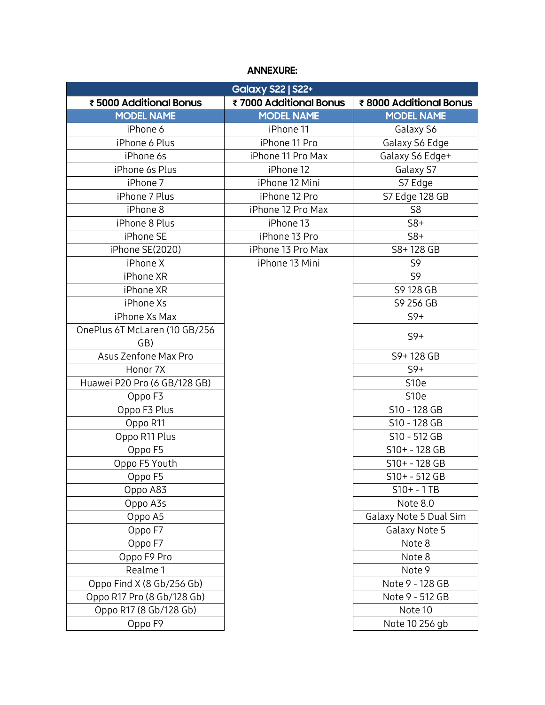# **ANNEXURE:**

| <b>Galaxy S22   S22+</b>      |                        |                        |
|-------------------------------|------------------------|------------------------|
| ₹5000 Additional Bonus        | ₹7000 Additional Bonus | ₹8000 Additional Bonus |
| <b>MODEL NAME</b>             | <b>MODEL NAME</b>      | <b>MODEL NAME</b>      |
| iPhone 6                      | iPhone 11              | Galaxy S6              |
| iPhone 6 Plus                 | iPhone 11 Pro          | Galaxy S6 Edge         |
| iPhone 6s                     | iPhone 11 Pro Max      | Galaxy S6 Edge+        |
| iPhone 6s Plus                | iPhone 12              | Galaxy S7              |
| iPhone 7                      | iPhone 12 Mini         | S7 Edge                |
| iPhone 7 Plus                 | iPhone 12 Pro          | S7 Edge 128 GB         |
| iPhone 8                      | iPhone 12 Pro Max      | S <sub>8</sub>         |
| iPhone 8 Plus                 | iPhone 13              | $S8+$                  |
| iPhone SE                     | iPhone 13 Pro          | $S8+$                  |
| iPhone SE(2020)               | iPhone 13 Pro Max      | S8+128 GB              |
| iPhone X                      | iPhone 13 Mini         | S9                     |
| iPhone XR                     |                        | S9                     |
| iPhone XR                     |                        | S9 128 GB              |
| iPhone Xs                     |                        | S9 256 GB              |
| iPhone Xs Max                 |                        | $S9+$                  |
| OnePlus 6T McLaren (10 GB/256 |                        | $S9+$                  |
| GB)                           |                        |                        |
| Asus Zenfone Max Pro          |                        | S9+128 GB              |
| Honor 7X                      |                        | $S9+$                  |
| Huawei P20 Pro (6 GB/128 GB)  |                        | S <sub>10e</sub>       |
| Oppo F3                       |                        | S <sub>10e</sub>       |
| Oppo F3 Plus                  |                        | S10 - 128 GB           |
| Oppo R11                      |                        | S10 - 128 GB           |
| Oppo R11 Plus                 |                        | S10 - 512 GB           |
| Oppo F5                       |                        | S10+ - 128 GB          |
| Oppo F5 Youth                 |                        | S10+ - 128 GB          |
| Oppo F5                       |                        | S10+ - 512 GB          |
| Oppo A83                      |                        | $S10+ - 1TB$           |
| Oppo A3s                      |                        | Note 8.0               |
| Oppo A5                       |                        | Galaxy Note 5 Dual Sim |
| Oppo F7                       |                        | Galaxy Note 5          |
| Oppo F7                       |                        | Note 8                 |
| Oppo F9 Pro                   |                        | Note 8                 |
| Realme 1                      |                        | Note 9                 |
| Oppo Find X (8 Gb/256 Gb)     |                        | Note 9 - 128 GB        |
| Oppo R17 Pro (8 Gb/128 Gb)    |                        | Note 9 - 512 GB        |
| Oppo R17 (8 Gb/128 Gb)        |                        | Note 10                |
| Oppo F9                       |                        | Note 10 256 gb         |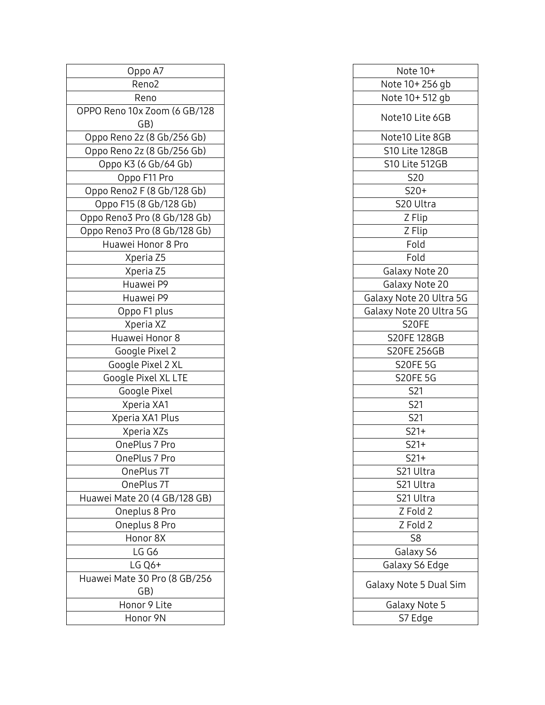| Oppo A7                             | Note 10+             |
|-------------------------------------|----------------------|
| Reno <sub>2</sub>                   | Note 10+256 gb       |
| Reno                                | Note 10+512 gb       |
| OPPO Reno 10x Zoom (6 GB/128        | Note10 Lite 6GB      |
| GB)                                 |                      |
| Oppo Reno 2z (8 Gb/256 Gb)          | Note10 Lite 8GB      |
| Oppo Reno 2z (8 Gb/256 Gb)          | S10 Lite 128GB       |
| Oppo K3 (6 Gb/64 Gb)                | S10 Lite 512GB       |
| Oppo F11 Pro                        | <b>S20</b>           |
| Oppo Reno2 F (8 Gb/128 Gb)          | $S20+$               |
| Oppo F15 (8 Gb/128 Gb)              | S20 Ultra            |
| Oppo Reno3 Pro (8 Gb/128 Gb)        | Z Flip               |
| Oppo Reno3 Pro (8 Gb/128 Gb)        | Z Flip               |
| Huawei Honor 8 Pro                  | Fold                 |
| Xperia Z5                           | Fold                 |
| Xperia Z5                           | Galaxy Note 20       |
| Huawei P9                           | Galaxy Note 20       |
| Huawei P9                           | Galaxy Note 20 Ultra |
| Oppo F1 plus                        | Galaxy Note 20 Ultra |
| Xperia XZ                           | S20FE                |
| Huawei Honor 8                      | <b>S20FE 128GB</b>   |
| Google Pixel 2                      | <b>S20FE 256GB</b>   |
| Google Pixel 2 XL                   | <b>S20FE 5G</b>      |
| Google Pixel XL LTE                 | <b>S20FE 5G</b>      |
| Google Pixel                        | S21                  |
| Xperia XA1                          | S21                  |
| Xperia XA1 Plus                     | S21                  |
| Xperia XZs                          | $S21+$               |
| OnePlus 7 Pro                       | $S21+$               |
| OnePlus 7 Pro                       | $S21+$               |
| OnePlus 7T                          | S21 Ultra            |
| OnePlus 7T                          | S21 Ultra            |
| Huawei Mate 20 (4 GB/128 GB)        | S21 Ultra            |
| Oneplus 8 Pro                       | Z Fold 2             |
| Oneplus 8 Pro                       | Z Fold 2             |
| Honor 8X                            | S8                   |
| LG G6                               | Galaxy S6            |
| $LG$ Q6+                            | Galaxy S6 Edge       |
| Huawei Mate 30 Pro (8 GB/256<br>GB) | Galaxy Note 5 Dual   |
| Honor 9 Lite                        | Galaxy Note 5        |
| Honor 9N                            | S7 Edge              |
|                                     |                      |

| Oppo A7               | Note 10+                |
|-----------------------|-------------------------|
| Reno2                 | Note 10+256 gb          |
| Reno                  | Note 10+512 gb          |
| 10 10x Zoom (6 GB/128 | Note10 Lite 6GB         |
| GB)                   |                         |
| eno 2z (8 Gb/256 Gb)  | Note10 Lite 8GB         |
| eno 2z (8 Gb/256 Gb)  | S10 Lite 128GB          |
| o K3 (6 Gb/64 Gb)     | S10 Lite 512GB          |
| Oppo F11 Pro          | S <sub>20</sub>         |
| eno2 F (8 Gb/128 Gb)  | $S20+$                  |
| F15 (8 Gb/128 Gb)     | S <sub>20</sub> Ultra   |
| no3 Pro (8 Gb/128 Gb) | Z Flip                  |
| no3 Pro (8 Gb/128 Gb) | Z Flip                  |
| เwei Honor 8 Pro      | Fold                    |
| Xperia Z5             | Fold                    |
| Xperia Z5             | Galaxy Note 20          |
| Huawei P9             | Galaxy Note 20          |
| Huawei P9             | Galaxy Note 20 Ultra 5G |
| Oppo F1 plus          | Galaxy Note 20 Ultra 5G |
| Xperia XZ             | S20FE                   |
| uawei Honor 8         | <b>S20FE 128GB</b>      |
| Google Pixel 2        | <b>S20FE 256GB</b>      |
| oogle Pixel 2 XL      | <b>S20FE 5G</b>         |
| ogle Pixel XL LTE     | <b>S20FE 5G</b>         |
| Google Pixel          | S21                     |
| Xperia XA1            | S21                     |
| peria XA1 Plus        | S21                     |
| Xperia XZs            | $S21+$                  |
| OnePlus 7 Pro         | $S21+$                  |
| OnePlus 7 Pro         | $S21+$                  |
| OnePlus 7T            | S21 Ultra               |
| OnePlus 7T            | S21 Ultra               |
| 4ate 20 (4 GB/128 GB) | S21 Ultra               |
| Oneplus 8 Pro         | Z Fold 2                |
| Oneplus 8 Pro         | Z Fold 2                |
| Honor 8X              | S8                      |
| LG G6                 | Galaxy S6               |
| $LG$ Q6+              | Galaxy S6 Edge          |
| 4ate 30 Pro (8 GB/256 |                         |
| GB)                   | Galaxy Note 5 Dual Sim  |
| Honor 9 Lite          | Galaxy Note 5           |
| Honor 9N              | S7 Edge                 |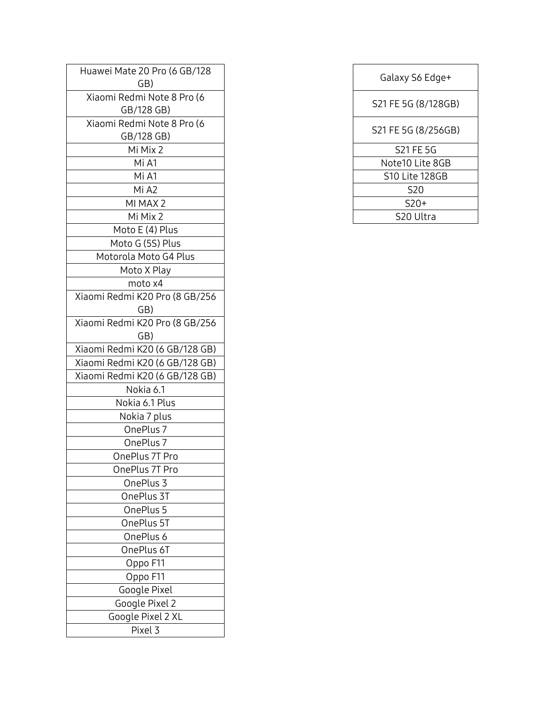| Huawei Mate 20 Pro (6 GB/128<br>GB) | Galaxy S6 Edge+     |
|-------------------------------------|---------------------|
| Xiaomi Redmi Note 8 Pro (6          |                     |
| GB/128 GB)                          | S21 FE 5G (8/128GB) |
| Xiaomi Redmi Note 8 Pro (6          |                     |
| GB/128 GB)                          | S21 FE 5G (8/256GB) |
| Mi Mix 2                            | S21 FE 5G           |
| Mi A1                               | Note10 Lite 8GB     |
| Mi A1                               | S10 Lite 128GB      |
| Mi A2                               | <b>S20</b>          |
| MI MAX 2                            | $S20+$              |
| Mi Mix 2                            | S20 Ultra           |
| Moto E (4) Plus                     |                     |
| Moto G (5S) Plus                    |                     |
| Motorola Moto G4 Plus               |                     |
| Moto X Play                         |                     |
| moto x4                             |                     |
| Xiaomi Redmi K20 Pro (8 GB/256      |                     |
| GB)                                 |                     |
| Xiaomi Redmi K20 Pro (8 GB/256      |                     |
| GB)                                 |                     |
| Xiaomi Redmi K20 (6 GB/128 GB)      |                     |
| Xiaomi Redmi K20 (6 GB/128 GB)      |                     |
| Xiaomi Redmi K20 (6 GB/128 GB)      |                     |
| Nokia 6.1                           |                     |
| Nokia 6.1 Plus                      |                     |
| Nokia 7 plus                        |                     |
| OnePlus 7                           |                     |
| OnePlus 7                           |                     |
| OnePlus 7T Pro                      |                     |
| OnePlus 7T Pro                      |                     |
| OnePlus 3                           |                     |
| OnePlus 3T                          |                     |
| OnePlus 5                           |                     |
| OnePlus 5T                          |                     |
| OnePlus 6                           |                     |
| OnePlus 6T                          |                     |
| Oppo F11                            |                     |
| Oppo F11                            |                     |
| Google Pixel                        |                     |
| Google Pixel 2                      |                     |
| Google Pixel 2 XL                   |                     |
| Pixel 3                             |                     |

| 20 Pro (6 GB/128<br>GB)      | Galaxy S6 Edge+     |
|------------------------------|---------------------|
| mi Note 8 Pro (6<br>/128 GB) | S21 FE 5G (8/128GB) |
| mi Note 8 Pro (6<br>/128 GB) | S21 FE 5G (8/256GB) |
| li Mix 2                     | <b>S21 FE 5G</b>    |
| Mi A1                        | Note10 Lite 8GB     |
| Mi A1                        | S10 Lite 128GB      |
| Mi A2                        | S <sub>20</sub>     |
| I MAX 2                      | $S20+$              |
| li Mix 2                     | S20 Ultra           |
|                              |                     |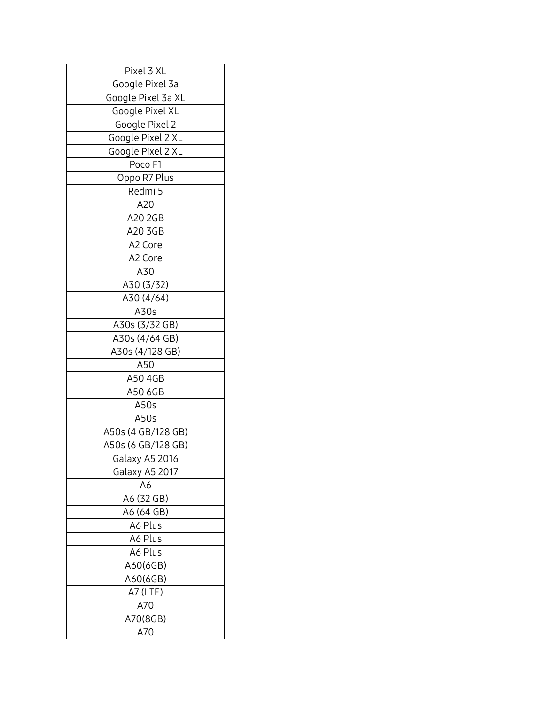| Pixel 3 XL         |
|--------------------|
| Google Pixel 3a    |
| Google Pixel 3a XL |
| Google Pixel XL    |
| Google Pixel 2     |
| Google Pixel 2 XL  |
| Google Pixel 2 XL  |
| Poco F1            |
| Oppo R7 Plus       |
| Redmi 5            |
| A20                |
| A20 2GB            |
| A20 3GB            |
| A2 Core            |
| A2 Core            |
| A30                |
| A30 (3/32)         |
| A30 (4/64)         |
| A30s               |
| A30s (3/32 GB)     |
| A30s (4/64 GB)     |
| A30s (4/128 GB)    |
| A50                |
| A50 4GB            |
| A50 6GB            |
| A50s               |
| A50s               |
| A50s (4 GB/128 GB) |
| A50s (6 GB/128 GB) |
| Galaxy A5 2016     |
| Galaxy A5 2017     |
| A6                 |
| A6 (32 GB)         |
| A6 (64 GB)         |
| A6 Plus            |
| A6 Plus            |
| A6 Plus            |
| A60(6GB)           |
| A60(6GB)           |
| A7 (LTE)           |
| A70                |
| A70(8GB)           |
| A70                |
|                    |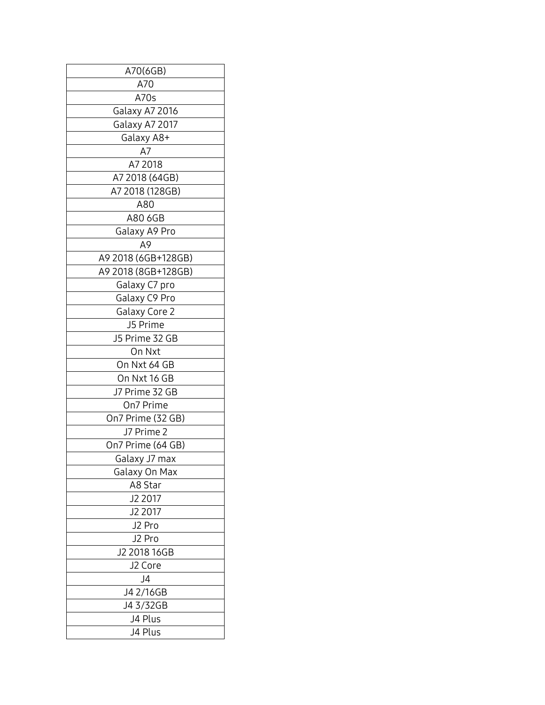| A70(6GB)                   |
|----------------------------|
| A70                        |
| A70s                       |
| Galaxy A7 2016             |
| Galaxy A7 2017             |
| Galaxy A8+                 |
| A7                         |
| A7 2018                    |
| A7 2018 (64GB)             |
| A7 2018 (128GB)            |
| A80                        |
| A80 6GB                    |
| Galaxy A9 Pro              |
| А9                         |
| A9 2018 (6GB+128GB)        |
| A9 2018 (8GB+128GB)        |
| Galaxy C7 pro              |
| Galaxy C9 Pro              |
| Galaxy Core 2              |
|                            |
| J5 Prime<br>J5 Prime 32 GB |
| On Nxt                     |
|                            |
| On Nxt 64 GB               |
| On Nxt 16 GB               |
| J7 Prime 32 GB             |
| On7 Prime                  |
| On7 Prime (32 GB)          |
| J7 Prime 2                 |
| On7 Prime (64 GB)          |
| Galaxy J7 max              |
| Galaxy On Max              |
| A8 Star                    |
| J2 2017                    |
| J2 2017                    |
| J2 Pro                     |
| J2 Pro                     |
| J2 2018 16GB               |
| J2 Core                    |
| J4                         |
| J4 2/16GB                  |
| J4 3/32GB                  |
| J4 Plus                    |
| J4 Plus                    |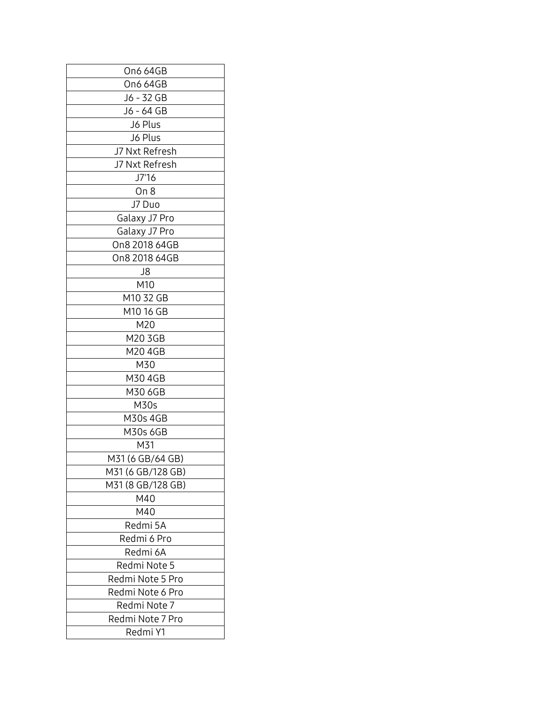| On6 64GB          |
|-------------------|
| On6 64GB          |
| J6 - 32 GB        |
| J6 - 64 GB        |
| J6 Plus           |
| J6 Plus           |
| J7 Nxt Refresh    |
| J7 Nxt Refresh    |
| J7'16             |
| On 8              |
| J7 Duo            |
| Galaxy J7 Pro     |
| Galaxy J7 Pro     |
| On8 2018 64GB     |
| On8 2018 64GB     |
| J8                |
| M10               |
| M10 32 GB         |
| M10 16 GB         |
| M20               |
| M20 3GB           |
| M20 4GB           |
| M30               |
| M30 4GB           |
| M30 6GB           |
| M30s              |
| M30s 4GB          |
| M30s 6GB          |
| M31               |
| M31 (6 GB/64 GB)  |
| M31 (6 GB/128 GB) |
| M31 (8 GB/128 GB) |
| M40               |
| M40               |
| Redmi 5A          |
| Redmi 6 Pro       |
| Redmi 6A          |
| Redmi Note 5      |
| Redmi Note 5 Pro  |
| Redmi Note 6 Pro  |
| Redmi Note 7      |
| Redmi Note 7 Pro  |
|                   |
| Redmi Y1          |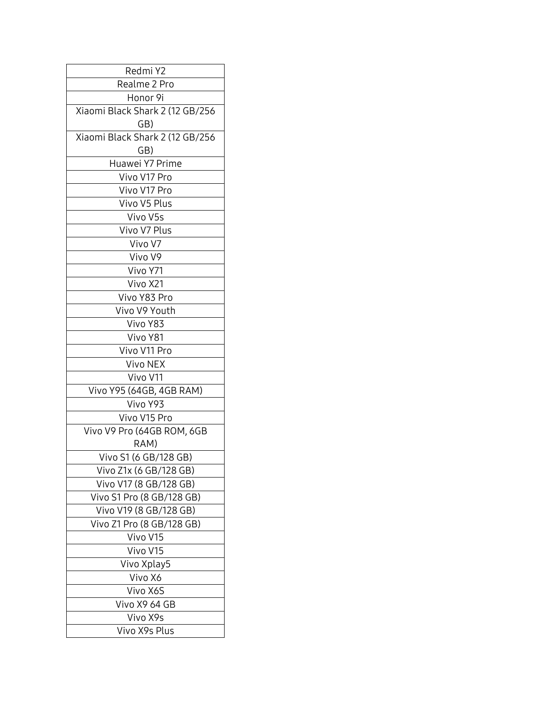| Redmi Y2                        |
|---------------------------------|
| Realme 2 Pro                    |
| Honor 9i                        |
| Xiaomi Black Shark 2 (12 GB/256 |
| GB)                             |
| Xiaomi Black Shark 2 (12 GB/256 |
| GB)                             |
| Huawei Y7 Prime                 |
| Vivo V17 Pro                    |
| Vivo V17 Pro                    |
| Vivo V5 Plus                    |
| Vivo V5s                        |
| Vivo V7 Plus                    |
| Vivo V7                         |
| Vivo V9                         |
| Vivo Y71                        |
| Vivo X21                        |
| Vivo Y83 Pro                    |
| Vivo V9 Youth                   |
| Vivo Y83                        |
| Vivo Y81                        |
| Vivo V11 Pro                    |
| Vivo NEX                        |
| Vivo V11                        |
| Vivo Y95 (64GB, 4GB RAM)        |
| Vivo Y93                        |
| Vivo V15 Pro                    |
| Vivo V9 Pro (64GB ROM, 6GB      |
| RAM)                            |
| Vivo S1 (6 GB/128 GB)           |
| Vivo Z1x (6 GB/128 GB)          |
| Vivo V17 (8 GB/128 GB)          |
| Vivo S1 Pro (8 GB/128 GB)       |
| Vivo V19 (8 GB/128 GB)          |
| Vivo Z1 Pro (8 GB/128 GB)       |
| Vivo V15                        |
| Vivo V15                        |
| Vivo Xplay5                     |
| Vivo X6                         |
| Vivo X6S                        |
| Vivo X9 64 GB                   |
| Vivo X9s                        |
|                                 |
| Vivo X9s Plus                   |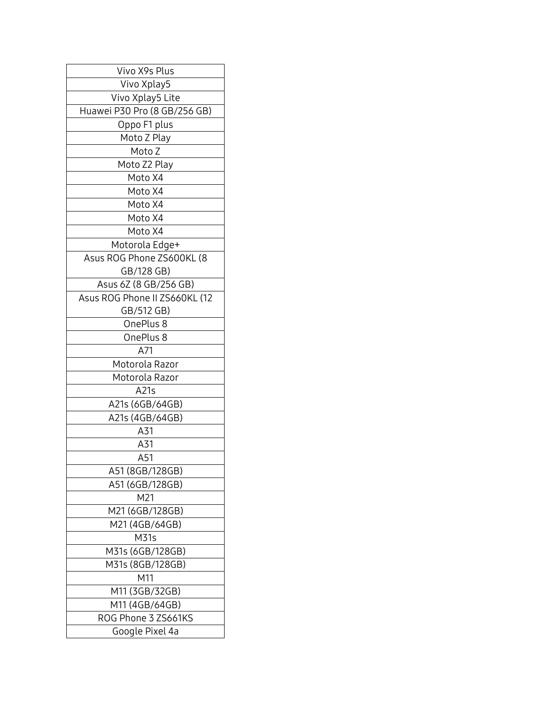| Vivo X9s Plus                 |
|-------------------------------|
| Vivo Xplay5                   |
| Vivo Xplay5 Lite              |
| Huawei P30 Pro (8 GB/256 GB)  |
| Oppo F1 plus                  |
| Moto Z Play                   |
| Moto Z                        |
| Moto Z2 Play                  |
| Moto X4                       |
| Moto X4                       |
| Moto X4                       |
| Moto X4                       |
| Moto X4                       |
| Motorola Edge+                |
| Asus ROG Phone ZS600KL (8     |
| GB/128 GB)                    |
| Asus 6Z (8 GB/256 GB)         |
| Asus ROG Phone II ZS660KL (12 |
| GB/512 GB)                    |
| OnePlus 8                     |
| OnePlus 8                     |
| A71                           |
| Motorola Razor                |
| Motorola Razor                |
| A21s                          |
| A21s (6GB/64GB)               |
| A21s (4GB/64GB)               |
| A31                           |
| A31                           |
| A51                           |
| A51 (8GB/128GB)               |
| A51 (6GB/128GB)               |
| M21                           |
| M21 (6GB/128GB)               |
| M21 (4GB/64GB)                |
| M31s                          |
| M31s (6GB/128GB)              |
| M31s (8GB/128GB)              |
| M11                           |
| M11 (3GB/32GB)                |
| M11 (4GB/64GB)                |
| ROG Phone 3 ZS661KS           |
| Google Pixel 4a               |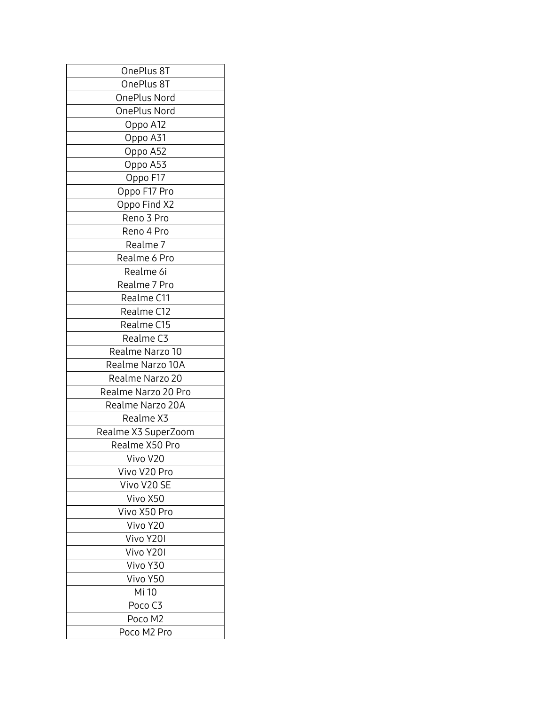| OnePlus 8T          |
|---------------------|
| OnePlus 8T          |
| OnePlus Nord        |
| OnePlus Nord        |
| Oppo A12            |
| Oppo A31            |
| Oppo A52            |
| Oppo A53            |
| Oppo F17            |
| Oppo F17 Pro        |
| Oppo Find X2        |
| Reno 3 Pro          |
| Reno 4 Pro          |
| Realme <sub>7</sub> |
| Realme 6 Pro        |
| Realme 6i           |
| Realme 7 Pro        |
| Realme C11          |
| Realme C12          |
| Realme C15          |
| Realme C3           |
|                     |
| Realme Narzo 10     |
| Realme Narzo 10A    |
| Realme Narzo 20     |
| Realme Narzo 20 Pro |
| Realme Narzo 20A    |
| Realme X3           |
| Realme X3 SuperZoom |
| Realme X50 Pro      |
| Vivo V20            |
| Vivo V20 Pro        |
| Vivo V20 SE         |
| Vivo X50            |
| Vivo X50 Pro        |
| Vivo Y20            |
| Vivo Y20I           |
| Vivo Y20I           |
| Vivo Y30            |
| Vivo Y50            |
| Mi 10               |
| Poco <sub>C3</sub>  |
| Poco M2             |
| Poco M2 Pro         |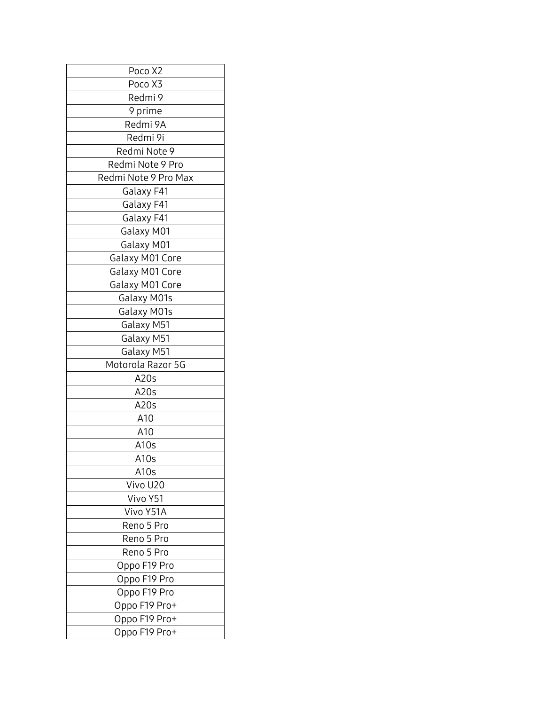| Poco X2              |
|----------------------|
| Poco X3              |
| Redmi 9              |
| 9 prime              |
| Redmi 9A             |
| Redmi 9i             |
| Redmi Note 9         |
| Redmi Note 9 Pro     |
| Redmi Note 9 Pro Max |
| Galaxy F41           |
| Galaxy F41           |
| Galaxy F41           |
| Galaxy M01           |
| Galaxy M01           |
| Galaxy M01 Core      |
| Galaxy M01 Core      |
| Galaxy M01 Core      |
| Galaxy M01s          |
| Galaxy M01s          |
| Galaxy M51           |
| Galaxy M51           |
| Galaxy M51           |
| Motorola Razor 5G    |
| A20s                 |
| A20s                 |
| A20s                 |
| A10                  |
| A10                  |
| A <sub>10s</sub>     |
| A <sub>10s</sub>     |
| A10s                 |
| Vivo U20             |
| Vivo Y51             |
| Vivo Y51A            |
| Reno 5 Pro           |
| Reno 5 Pro           |
| Reno 5 Pro           |
| Oppo F19 Pro         |
| Oppo F19 Pro         |
| Oppo F19 Pro         |
| Oppo F19 Pro+        |
| Oppo F19 Pro+        |
| Oppo F19 Pro+        |
|                      |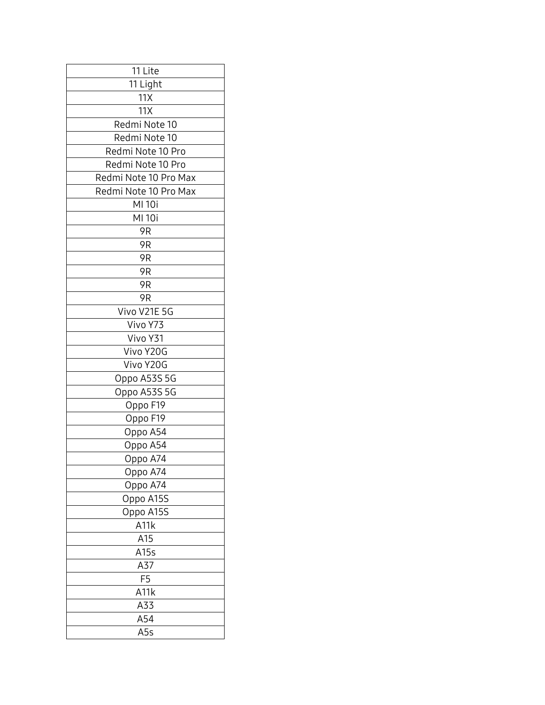| 11 Lite               |
|-----------------------|
| 11 Light              |
| 11X                   |
| 11X                   |
| Redmi Note 10         |
| Redmi Note 10         |
| Redmi Note 10 Pro     |
| Redmi Note 10 Pro     |
| Redmi Note 10 Pro Max |
| Redmi Note 10 Pro Max |
| MI 10i                |
| MI 10i                |
| 9 <sub>R</sub>        |
| 9 <sub>R</sub>        |
| 9 <sub>R</sub>        |
| 9 <sub>R</sub>        |
| 9 <sub>R</sub>        |
| 9R                    |
| Vivo V21E 5G          |
| Vivo Y73              |
| Vivo Y31              |
| Vivo Y20G             |
| Vivo Y20G             |
| Oppo A53S 5G          |
| Oppo A53S 5G          |
| Oppo F19              |
| Oppo F19              |
| Oppo A54              |
| Oppo A54              |
| Oppo A74              |
| Oppo A74              |
| Oppo A74              |
| Oppo A15S             |
| Oppo A15S             |
| A <sub>11</sub> k     |
| A15                   |
| A15s                  |
| A37                   |
| F <sub>5</sub>        |
| A11k                  |
| A33                   |
| A54                   |
| A5s                   |